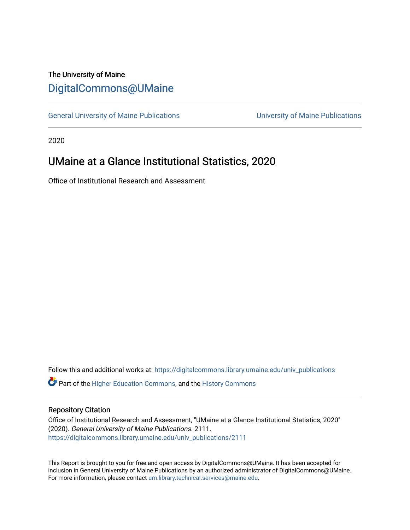# The University of Maine [DigitalCommons@UMaine](https://digitalcommons.library.umaine.edu/)

[General University of Maine Publications](https://digitalcommons.library.umaine.edu/univ_publications) [University of Maine Publications](https://digitalcommons.library.umaine.edu/umaine_publications) 

2020

# UMaine at a Glance Institutional Statistics, 2020

Office of Institutional Research and Assessment

Follow this and additional works at: [https://digitalcommons.library.umaine.edu/univ\\_publications](https://digitalcommons.library.umaine.edu/univ_publications?utm_source=digitalcommons.library.umaine.edu%2Funiv_publications%2F2111&utm_medium=PDF&utm_campaign=PDFCoverPages) 

**C** Part of the [Higher Education Commons,](http://network.bepress.com/hgg/discipline/1245?utm_source=digitalcommons.library.umaine.edu%2Funiv_publications%2F2111&utm_medium=PDF&utm_campaign=PDFCoverPages) and the [History Commons](http://network.bepress.com/hgg/discipline/489?utm_source=digitalcommons.library.umaine.edu%2Funiv_publications%2F2111&utm_medium=PDF&utm_campaign=PDFCoverPages)

# Repository Citation

Office of Institutional Research and Assessment, "UMaine at a Glance Institutional Statistics, 2020" (2020). General University of Maine Publications. 2111. [https://digitalcommons.library.umaine.edu/univ\\_publications/2111](https://digitalcommons.library.umaine.edu/univ_publications/2111?utm_source=digitalcommons.library.umaine.edu%2Funiv_publications%2F2111&utm_medium=PDF&utm_campaign=PDFCoverPages)

This Report is brought to you for free and open access by DigitalCommons@UMaine. It has been accepted for inclusion in General University of Maine Publications by an authorized administrator of DigitalCommons@UMaine. For more information, please contact [um.library.technical.services@maine.edu](mailto:um.library.technical.services@maine.edu).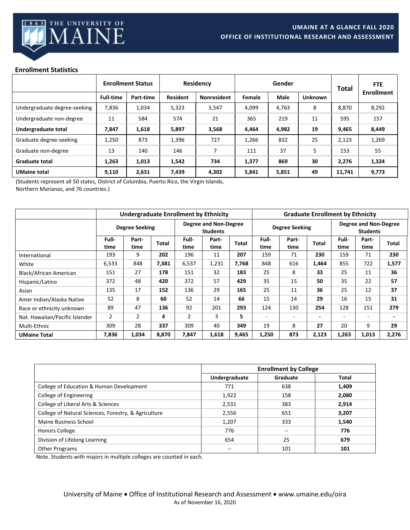

# **Enrollment Statistics**

|                              |                  | <b>Enrollment Status</b> |                 | <b>Residency</b>   | Gender |             |                | <b>Total</b> | <b>FTE</b>        |
|------------------------------|------------------|--------------------------|-----------------|--------------------|--------|-------------|----------------|--------------|-------------------|
|                              | <b>Full-time</b> | Part-time                | <b>Resident</b> | <b>Nonresident</b> | Female | <b>Male</b> | <b>Unknown</b> |              | <b>Enrollment</b> |
| Undergraduate degree-seeking | 7,836            | 1,034                    | 5,323           | 3,547              | 4,099  | 4,763       | 8              | 8,870        | 8,292             |
| Undergraduate non-degree     | 11               | 584                      | 574             | 21                 | 365    | 219         | 11             | 595          | 157               |
| Undergraduate total          | 7,847            | 1,618                    | 5,897           | 3,568              | 4,464  | 4,982       | 19             | 9,465        | 8,449             |
| Graduate degree-seeking      | 1,250            | 873                      | 1,396           | 727                | 1,266  | 832         | 25             | 2,123        | 1,269             |
| Graduate non-degree          | 13               | 140                      | 146             |                    | 111    | 37          | 5              | 153          | 55                |
| <b>Graduate total</b>        | 1,263            | 1,013                    | 1,542           | 734                | 1,377  | 869         | 30             | 2,276        | 1,324             |
| <b>UMaine total</b>          | 9,110            | 2,631                    | 7,439           | 4,302              | 5,841  | 5,851       | 49             | 11,741       | 9,773             |

(Students represent all 50 states, District of Columbia, Puerto Rico, the Virgin Islands, Northern Marianas, and 76 countries.)

|                                | Undergraduate Enrollment by Ethnicity |                |                                                 |                | <b>Graduate Enrollment by Ethnicity</b> |              |                          |                                                 |                          |               |               |                          |
|--------------------------------|---------------------------------------|----------------|-------------------------------------------------|----------------|-----------------------------------------|--------------|--------------------------|-------------------------------------------------|--------------------------|---------------|---------------|--------------------------|
|                                | <b>Degree Seeking</b>                 |                | <b>Degree and Non-Degree</b><br><b>Students</b> |                | <b>Degree Seeking</b>                   |              |                          | <b>Degree and Non-Degree</b><br><b>Students</b> |                          |               |               |                          |
|                                | Full-<br>time                         | Part-<br>time  | Total                                           | Full-<br>time  | Part-<br>time                           | <b>Total</b> | Full-<br>time            | Part-<br>time                                   | Total                    | Full-<br>time | Part-<br>time | Total                    |
| International                  | 193                                   | 9              | 202                                             | 196            | 11                                      | 207          | 159                      | 71                                              | 230                      | 159           | 71            | 230                      |
| White                          | 6,533                                 | 848            | 7,381                                           | 6,537          | 1,231                                   | 7,768        | 848                      | 616                                             | 1,464                    | 855           | 722           | 1,577                    |
| Black/African American         | 151                                   | 27             | 178                                             | 151            | 32                                      | 183          | 25                       | 8                                               | 33                       | 25            | 11            | 36                       |
| Hispanic/Latino                | 372                                   | 48             | 420                                             | 372            | 57                                      | 429          | 35                       | 15                                              | 50                       | 35            | 22            | 57                       |
| Asian                          | 135                                   | 17             | 152                                             | 136            | 29                                      | 165          | 25                       | 11                                              | 36                       | 25            | 12            | 37                       |
| Amer Indian/Alaska Native      | 52                                    | 8              | 60                                              | 52             | 14                                      | 66           | 15                       | 14                                              | 29                       | 16            | 15            | 31                       |
| Race or ethnicity unknown      | 89                                    | 47             | 136                                             | 92             | 201                                     | 293          | 124                      | 130                                             | 254                      | 128           | 151           | 279                      |
| Nat. Hawaiian/Pacific Islander | $\overline{2}$                        | $\overline{2}$ | 4                                               | $\overline{2}$ | 3                                       | 5.           | $\overline{\phantom{a}}$ | $\overline{\phantom{a}}$                        | $\overline{\phantom{a}}$ | -             | ۰             | $\overline{\phantom{0}}$ |
| Multi-Ethnic                   | 309                                   | 28             | 337                                             | 309            | 40                                      | 349          | 19                       | 8                                               | 27                       | 20            | 9             | 29                       |
| <b>UMaine Total</b>            | 7,836                                 | 1,034          | 8,870                                           | 7,847          | 1,618                                   | 9,465        | 1,250                    | 873                                             | 2,123                    | 1,263         | 1,013         | 2,276                    |

|                                                      | <b>Enrollment by College</b> |                   |              |  |  |
|------------------------------------------------------|------------------------------|-------------------|--------------|--|--|
|                                                      | Undergraduate                | Graduate          | <b>Total</b> |  |  |
| College of Education & Human Development             | 771                          | 638               | 1,409        |  |  |
| College of Engineering                               | 1,922                        | 158               | 2,080        |  |  |
| College of Liberal Arts & Sciences                   | 2,531                        | 383               | 2,914        |  |  |
| College of Natural Sciences, Forestry, & Agriculture | 2,556                        | 651               | 3,207        |  |  |
| Maine Business School                                | 1,207                        | 333               | 1,540        |  |  |
| <b>Honors College</b>                                | 776                          | $\qquad \qquad -$ | 776          |  |  |
| Division of Lifelong Learning                        | 654                          | 25                | 679          |  |  |
| Other Programs                                       |                              | 101               | 101          |  |  |

Note. Students with majors in multiple colleges are counted in each.